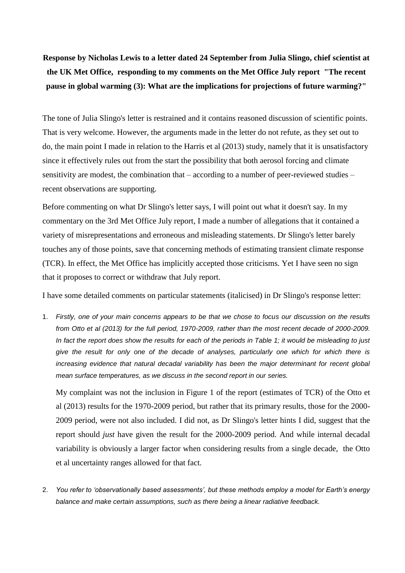**Response by Nicholas Lewis to a letter dated 24 September from Julia Slingo, chief scientist at the UK Met Office, responding to my comments on the Met Office July report "The recent pause in global warming (3): What are the implications for projections of future warming?"**

The tone of Julia Slingo's letter is restrained and it contains reasoned discussion of scientific points. That is very welcome. However, the arguments made in the letter do not refute, as they set out to do, the main point I made in relation to the Harris et al (2013) study, namely that it is unsatisfactory since it effectively rules out from the start the possibility that both aerosol forcing and climate sensitivity are modest, the combination that – according to a number of peer-reviewed studies – recent observations are supporting.

Before commenting on what Dr Slingo's letter says, I will point out what it doesn't say. In my commentary on the 3rd Met Office July report, I made a number of allegations that it contained a variety of misrepresentations and erroneous and misleading statements. Dr Slingo's letter barely touches any of those points, save that concerning methods of estimating transient climate response (TCR). In effect, the Met Office has implicitly accepted those criticisms. Yet I have seen no sign that it proposes to correct or withdraw that July report.

I have some detailed comments on particular statements (italicised) in Dr Slingo's response letter:

1. *Firstly, one of your main concerns appears to be that we chose to focus our discussion on the results from Otto et al (2013) for the full period, 1970-2009, rather than the most recent decade of 2000-2009. In fact the report does show the results for each of the periods in Table 1; it would be misleading to just give the result for only one of the decade of analyses, particularly one which for which there is increasing evidence that natural decadal variability has been the major determinant for recent global mean surface temperatures, as we discuss in the second report in our series.*

My complaint was not the inclusion in Figure 1 of the report (estimates of TCR) of the Otto et al (2013) results for the 1970-2009 period, but rather that its primary results, those for the 2000- 2009 period, were not also included. I did not, as Dr Slingo's letter hints I did, suggest that the report should *just* have given the result for the 2000-2009 period. And while internal decadal variability is obviously a larger factor when considering results from a single decade, the Otto et al uncertainty ranges allowed for that fact.

2. *You refer to 'observationally based assessments', but these methods employ a model for Earth's energy balance and make certain assumptions, such as there being a linear radiative feedback.*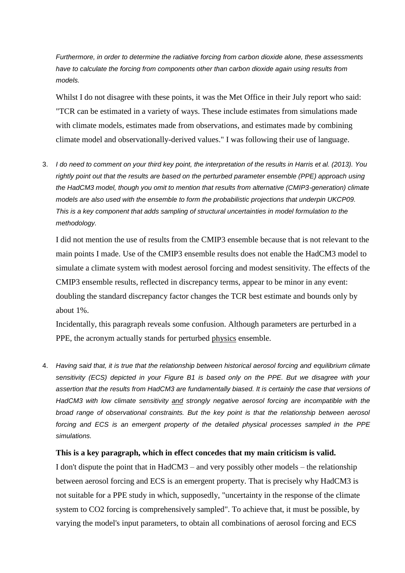*Furthermore, in order to determine the radiative forcing from carbon dioxide alone, these assessments have to calculate the forcing from components other than carbon dioxide again using results from models.*

Whilst I do not disagree with these points, it was the Met Office in their July report who said: "TCR can be estimated in a variety of ways. These include estimates from simulations made with climate models, estimates made from observations, and estimates made by combining climate model and observationally-derived values." I was following their use of language.

3. *I do need to comment on your third key point, the interpretation of the results in Harris et al. (2013). You rightly point out that the results are based on the perturbed parameter ensemble (PPE) approach using the HadCM3 model, though you omit to mention that results from alternative (CMIP3-generation) climate models are also used with the ensemble to form the probabilistic projections that underpin UKCP09. This is a key component that adds sampling of structural uncertainties in model formulation to the methodology.*

I did not mention the use of results from the CMIP3 ensemble because that is not relevant to the main points I made. Use of the CMIP3 ensemble results does not enable the HadCM3 model to simulate a climate system with modest aerosol forcing and modest sensitivity. The effects of the CMIP3 ensemble results, reflected in discrepancy terms, appear to be minor in any event: doubling the standard discrepancy factor changes the TCR best estimate and bounds only by about 1%.

Incidentally, this paragraph reveals some confusion. Although parameters are perturbed in a PPE, the acronym actually stands for perturbed physics ensemble.

4. *Having said that, it is true that the relationship between historical aerosol forcing and equilibrium climate sensitivity (ECS) depicted in your Figure B1 is based only on the PPE. But we disagree with your assertion that the results from HadCM3 are fundamentally biased. It is certainly the case that versions of HadCM3 with low climate sensitivity and strongly negative aerosol forcing are incompatible with the broad range of observational constraints. But the key point is that the relationship between aerosol forcing and ECS is an emergent property of the detailed physical processes sampled in the PPE simulations.* 

## **This is a key paragraph, which in effect concedes that my main criticism is valid.**

I don't dispute the point that in HadCM3 – and very possibly other models – the relationship between aerosol forcing and ECS is an emergent property. That is precisely why HadCM3 is not suitable for a PPE study in which, supposedly, "uncertainty in the response of the climate system to CO2 forcing is comprehensively sampled". To achieve that, it must be possible, by varying the model's input parameters, to obtain all combinations of aerosol forcing and ECS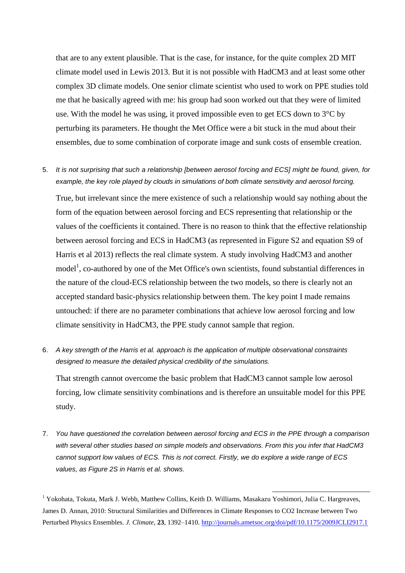that are to any extent plausible. That is the case, for instance, for the quite complex 2D MIT climate model used in Lewis 2013. But it is not possible with HadCM3 and at least some other complex 3D climate models. One senior climate scientist who used to work on PPE studies told me that he basically agreed with me: his group had soon worked out that they were of limited use. With the model he was using, it proved impossible even to get ECS down to 3°C by perturbing its parameters. He thought the Met Office were a bit stuck in the mud about their ensembles, due to some combination of corporate image and sunk costs of ensemble creation.

5. *It is not surprising that such a relationship [between aerosol forcing and ECS] might be found, given, for example, the key role played by clouds in simulations of both climate sensitivity and aerosol forcing.* 

True, but irrelevant since the mere existence of such a relationship would say nothing about the form of the equation between aerosol forcing and ECS representing that relationship or the values of the coefficients it contained. There is no reason to think that the effective relationship between aerosol forcing and ECS in HadCM3 (as represented in Figure S2 and equation S9 of Harris et al 2013) reflects the real climate system. A study involving HadCM3 and another model<sup>1</sup>, co-authored by one of the Met Office's own scientists, found substantial differences in the nature of the cloud-ECS relationship between the two models, so there is clearly not an accepted standard basic-physics relationship between them. The key point I made remains untouched: if there are no parameter combinations that achieve low aerosol forcing and low climate sensitivity in HadCM3, the PPE study cannot sample that region.

6. *A key strength of the Harris et al. approach is the application of multiple observational constraints designed to measure the detailed physical credibility of the simulations.*

That strength cannot overcome the basic problem that HadCM3 cannot sample low aerosol forcing, low climate sensitivity combinations and is therefore an unsuitable model for this PPE study.

7. *You have questioned the correlation between aerosol forcing and ECS in the PPE through a comparison with several other studies based on simple models and observations. From this you infer that HadCM3 cannot support low values of ECS. This is not correct. Firstly, we do explore a wide range of ECS values, as Figure 2S in Harris et al. shows.* 

<sup>1</sup> Yokohata, Tokuta, Mark J. Webb, Matthew Collins, Keith D. Williams, Masakazu Yoshimori, Julia C. Hargreaves, James D. Annan, 2010: Structural Similarities and Differences in Climate Responses to CO2 Increase between Two Perturbed Physics Ensembles. *J. Climate*, **23**, 1392–1410.<http://journals.ametsoc.org/doi/pdf/10.1175/2009JCLI2917.1>

-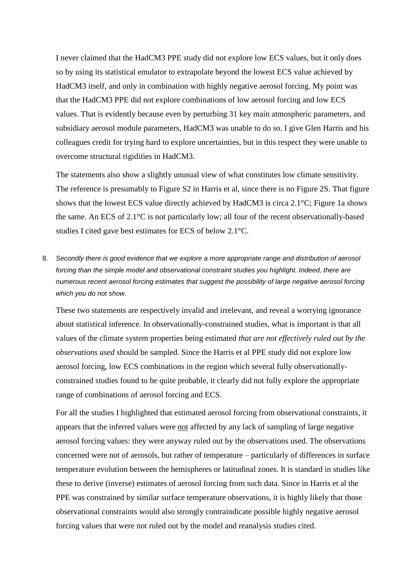I never claimed that the HadCM3 PPE study did not explore low ECS values, but it only does so by using its statistical emulator to extrapolate beyond the lowest ECS value achieved by HadCM3 itself, and only in combination with highly negative aerosol forcing. My point was that the HadCM3 PPE did not explore combinations of low aerosol forcing and low ECS values. That is evidently because even by perturbing 31 key main atmospheric parameters, and subsidiary aerosol module parameters, HadCM3 was unable to do so. I give Glen Harris and his colleagues credit for trying hard to explore uncertainties, but in this respect they were unable to overcome structural rigidities in HadCM3.

The statements also show a slightly unusual view of what constitutes low climate sensitivity. The reference is presumably to Figure S2 in Harris et al, since there is no Figure 2S. That figure shows that the lowest ECS value directly achieved by HadCM3 is circa 2.1°C; Figure 1a shows the same. An ECS of 2.1°C is not particularly low; all four of the recent observationally-based studies I cited gave best estimates for ECS of below 2.1°C.

8. *Secondly there is good evidence that we explore a more appropriate range and distribution of aerosol forcing than the simple model and observational constraint studies you highlight. Indeed, there are numerous recent aerosol forcing estimates that suggest the possibility of large negative aerosol forcing which you do not show*.

These two statements are respectively invalid and irrelevant, and reveal a worrying ignorance about statistical inference. In observationally-constrained studies, what is important is that all values of the climate system properties being estimated *that are not effectively ruled out by the observations used* should be sampled. Since the Harris et al PPE study did not explore low aerosol forcing, low ECS combinations in the region which several fully observationallyconstrained studies found to be quite probable, it clearly did not fully explore the appropriate range of combinations of aerosol forcing and ECS.

For all the studies I highlighted that estimated aerosol forcing from observational constraints, it appears that the inferred values were not affected by any lack of sampling of large negative aerosol forcing values: they were anyway ruled out by the observations used. The observations concerned were not of aerosols, but rather of temperature – particularly of differences in surface temperature evolution between the hemispheres or latitudinal zones. It is standard in studies like these to derive (inverse) estimates of aerosol forcing from such data. Since in Harris et al the PPE was constrained by similar surface temperature observations, it is highly likely that those observational constraints would also strongly contraindicate possible highly negative aerosol forcing values that were not ruled out by the model and reanalysis studies cited.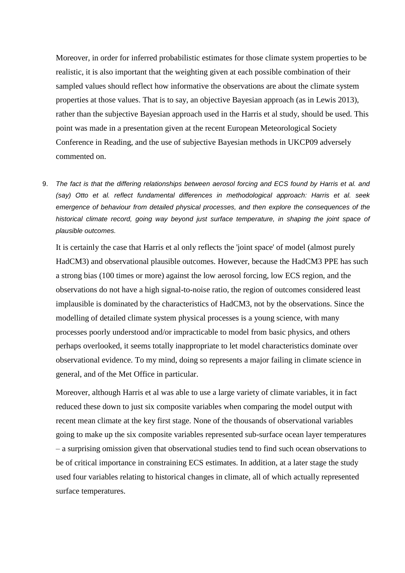Moreover, in order for inferred probabilistic estimates for those climate system properties to be realistic, it is also important that the weighting given at each possible combination of their sampled values should reflect how informative the observations are about the climate system properties at those values. That is to say, an objective Bayesian approach (as in Lewis 2013), rather than the subjective Bayesian approach used in the Harris et al study, should be used. This point was made in a presentation given at the recent European Meteorological Society Conference in Reading, and the use of subjective Bayesian methods in UKCP09 adversely commented on.

9. *The fact is that the differing relationships between aerosol forcing and ECS found by Harris et al. and (say) Otto et al. reflect fundamental differences in methodological approach: Harris et al. seek emergence of behaviour from detailed physical processes, and then explore the consequences of the historical climate record, going way beyond just surface temperature, in shaping the joint space of plausible outcomes.* 

It is certainly the case that Harris et al only reflects the 'joint space' of model (almost purely HadCM3) and observational plausible outcomes. However, because the HadCM3 PPE has such a strong bias (100 times or more) against the low aerosol forcing, low ECS region, and the observations do not have a high signal-to-noise ratio, the region of outcomes considered least implausible is dominated by the characteristics of HadCM3, not by the observations. Since the modelling of detailed climate system physical processes is a young science, with many processes poorly understood and/or impracticable to model from basic physics, and others perhaps overlooked, it seems totally inappropriate to let model characteristics dominate over observational evidence. To my mind, doing so represents a major failing in climate science in general, and of the Met Office in particular.

Moreover, although Harris et al was able to use a large variety of climate variables, it in fact reduced these down to just six composite variables when comparing the model output with recent mean climate at the key first stage. None of the thousands of observational variables going to make up the six composite variables represented sub-surface ocean layer temperatures – a surprising omission given that observational studies tend to find such ocean observations to be of critical importance in constraining ECS estimates. In addition, at a later stage the study used four variables relating to historical changes in climate, all of which actually represented surface temperatures.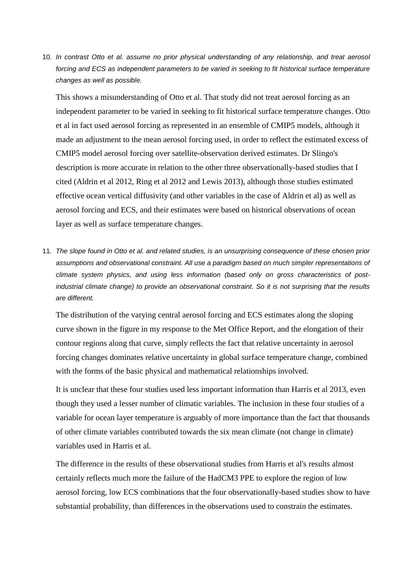10. *In contrast Otto et al. assume no prior physical understanding of any relationship, and treat aerosol forcing and ECS as independent parameters to be varied in seeking to fit historical surface temperature changes as well as possible.* 

This shows a misunderstanding of Otto et al. That study did not treat aerosol forcing as an independent parameter to be varied in seeking to fit historical surface temperature changes. Otto et al in fact used aerosol forcing as represented in an ensemble of CMIP5 models, although it made an adjustment to the mean aerosol forcing used, in order to reflect the estimated excess of CMIP5 model aerosol forcing over satellite-observation derived estimates. Dr Slingo's description is more accurate in relation to the other three observationally-based studies that I cited (Aldrin et al 2012, Ring et al 2012 and Lewis 2013), although those studies estimated effective ocean vertical diffusivity (and other variables in the case of Aldrin et al) as well as aerosol forcing and ECS, and their estimates were based on historical observations of ocean layer as well as surface temperature changes.

11*. The slope found in Otto et al. and related studies, is an unsurprising consequence of these chosen prior assumptions and observational constraint. All use a paradigm based on much simpler representations of climate system physics, and using less information (based only on gross characteristics of postindustrial climate change) to provide an observational constraint. So it is not surprising that the results are different.* 

The distribution of the varying central aerosol forcing and ECS estimates along the sloping curve shown in the figure in my response to the Met Office Report, and the elongation of their contour regions along that curve, simply reflects the fact that relative uncertainty in aerosol forcing changes dominates relative uncertainty in global surface temperature change, combined with the forms of the basic physical and mathematical relationships involved.

It is unclear that these four studies used less important information than Harris et al 2013, even though they used a lesser number of climatic variables. The inclusion in these four studies of a variable for ocean layer temperature is arguably of more importance than the fact that thousands of other climate variables contributed towards the six mean climate (not change in climate) variables used in Harris et al.

The difference in the results of these observational studies from Harris et al's results almost certainly reflects much more the failure of the HadCM3 PPE to explore the region of low aerosol forcing, low ECS combinations that the four observationally-based studies show to have substantial probability, than differences in the observations used to constrain the estimates.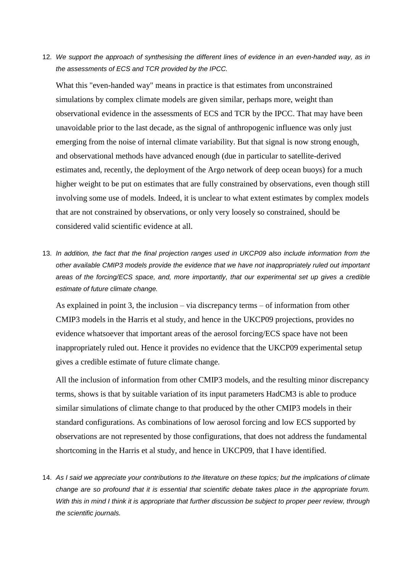12. *We support the approach of synthesising the different lines of evidence in an even-handed way, as in the assessments of ECS and TCR provided by the IPCC.* 

What this "even-handed way" means in practice is that estimates from unconstrained simulations by complex climate models are given similar, perhaps more, weight than observational evidence in the assessments of ECS and TCR by the IPCC. That may have been unavoidable prior to the last decade, as the signal of anthropogenic influence was only just emerging from the noise of internal climate variability. But that signal is now strong enough, and observational methods have advanced enough (due in particular to satellite-derived estimates and, recently, the deployment of the Argo network of deep ocean buoys) for a much higher weight to be put on estimates that are fully constrained by observations, even though still involving some use of models. Indeed, it is unclear to what extent estimates by complex models that are not constrained by observations, or only very loosely so constrained, should be considered valid scientific evidence at all.

13. *In addition, the fact that the final projection ranges used in UKCP09 also include information from the other available CMIP3 models provide the evidence that we have not inappropriately ruled out important areas of the forcing/ECS space, and, more importantly, that our experimental set up gives a credible estimate of future climate change.*

As explained in point 3, the inclusion – via discrepancy terms – of information from other CMIP3 models in the Harris et al study, and hence in the UKCP09 projections, provides no evidence whatsoever that important areas of the aerosol forcing/ECS space have not been inappropriately ruled out. Hence it provides no evidence that the UKCP09 experimental setup gives a credible estimate of future climate change.

All the inclusion of information from other CMIP3 models, and the resulting minor discrepancy terms, shows is that by suitable variation of its input parameters HadCM3 is able to produce similar simulations of climate change to that produced by the other CMIP3 models in their standard configurations. As combinations of low aerosol forcing and low ECS supported by observations are not represented by those configurations, that does not address the fundamental shortcoming in the Harris et al study, and hence in UKCP09, that I have identified.

14. *As I said we appreciate your contributions to the literature on these topics; but the implications of climate change are so profound that it is essential that scientific debate takes place in the appropriate forum. With this in mind I think it is appropriate that further discussion be subject to proper peer review, through the scientific journals.*